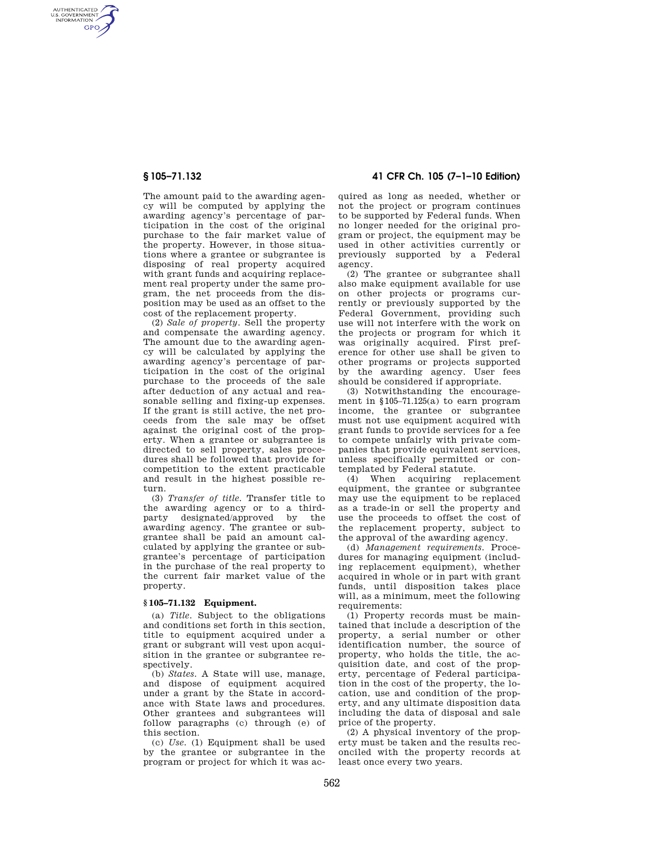AUTHENTICATED<br>U.S. GOVERNMENT<br>INFORMATION **GPO** 

> The amount paid to the awarding agency will be computed by applying the awarding agency's percentage of participation in the cost of the original purchase to the fair market value of the property. However, in those situations where a grantee or subgrantee is disposing of real property acquired with grant funds and acquiring replacement real property under the same program, the net proceeds from the disposition may be used as an offset to the cost of the replacement property.

> (2) *Sale of property.* Sell the property and compensate the awarding agency. The amount due to the awarding agency will be calculated by applying the awarding agency's percentage of participation in the cost of the original purchase to the proceeds of the sale after deduction of any actual and reasonable selling and fixing-up expenses. If the grant is still active, the net proceeds from the sale may be offset against the original cost of the property. When a grantee or subgrantee is directed to sell property, sales procedures shall be followed that provide for competition to the extent practicable and result in the highest possible return.

> (3) *Transfer of title.* Transfer title to the awarding agency or to a thirdparty designated/approved by the awarding agency. The grantee or subgrantee shall be paid an amount calculated by applying the grantee or subgrantee's percentage of participation in the purchase of the real property to the current fair market value of the property.

#### **§ 105–71.132 Equipment.**

(a) *Title.* Subject to the obligations and conditions set forth in this section, title to equipment acquired under a grant or subgrant will vest upon acquisition in the grantee or subgrantee respectively.

(b) *States.* A State will use, manage, and dispose of equipment acquired under a grant by the State in accordance with State laws and procedures. Other grantees and subgrantees will follow paragraphs (c) through (e) of this section.

(c) *Use.* (1) Equipment shall be used by the grantee or subgrantee in the program or project for which it was ac-

# **§ 105–71.132 41 CFR Ch. 105 (7–1–10 Edition)**

quired as long as needed, whether or not the project or program continues to be supported by Federal funds. When no longer needed for the original program or project, the equipment may be used in other activities currently or previously supported by a Federal agency.

(2) The grantee or subgrantee shall also make equipment available for use on other projects or programs currently or previously supported by the Federal Government, providing such use will not interfere with the work on the projects or program for which it was originally acquired. First preference for other use shall be given to other programs or projects supported by the awarding agency. User fees should be considered if appropriate.

(3) Notwithstanding the encouragement in §105–71.125(a) to earn program income, the grantee or subgrantee must not use equipment acquired with grant funds to provide services for a fee to compete unfairly with private companies that provide equivalent services, unless specifically permitted or contemplated by Federal statute.

(4) When acquiring replacement equipment, the grantee or subgrantee may use the equipment to be replaced as a trade-in or sell the property and use the proceeds to offset the cost of the replacement property, subject to the approval of the awarding agency.

(d) *Management requirements.* Procedures for managing equipment (including replacement equipment), whether acquired in whole or in part with grant funds, until disposition takes place will, as a minimum, meet the following requirements:

(1) Property records must be maintained that include a description of the property, a serial number or other identification number, the source of property, who holds the title, the acquisition date, and cost of the property, percentage of Federal participation in the cost of the property, the location, use and condition of the property, and any ultimate disposition data including the data of disposal and sale price of the property.

(2) A physical inventory of the property must be taken and the results reconciled with the property records at least once every two years.